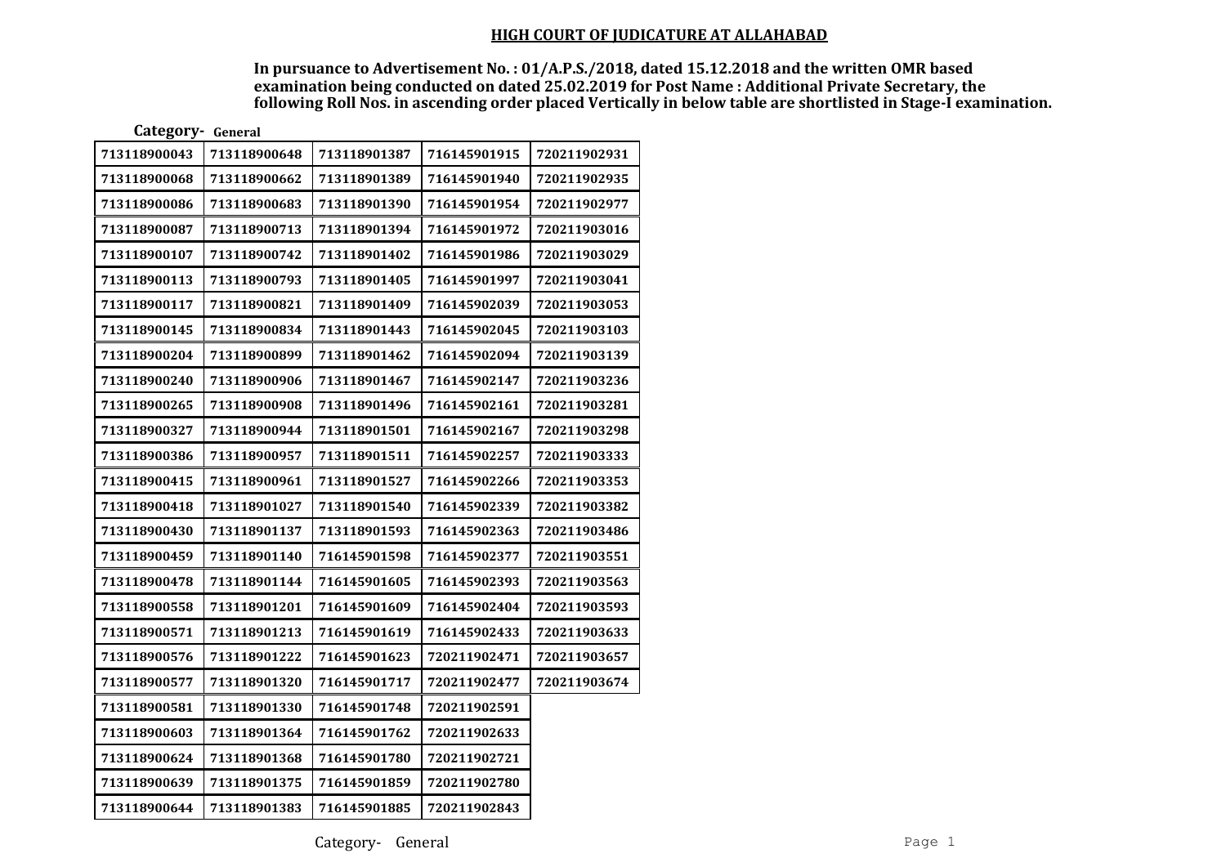| Category- General |              |              |              |              |
|-------------------|--------------|--------------|--------------|--------------|
| 713118900043      | 713118900648 | 713118901387 | 716145901915 | 720211902931 |
| 713118900068      | 713118900662 | 713118901389 | 716145901940 | 720211902935 |
| 713118900086      | 713118900683 | 713118901390 | 716145901954 | 720211902977 |
| 713118900087      | 713118900713 | 713118901394 | 716145901972 | 720211903016 |
| 713118900107      | 713118900742 | 713118901402 | 716145901986 | 720211903029 |
| 713118900113      | 713118900793 | 713118901405 | 716145901997 | 720211903041 |
| 713118900117      | 713118900821 | 713118901409 | 716145902039 | 720211903053 |
| 713118900145      | 713118900834 | 713118901443 | 716145902045 | 720211903103 |
| 713118900204      | 713118900899 | 713118901462 | 716145902094 | 720211903139 |
| 713118900240      | 713118900906 | 713118901467 | 716145902147 | 720211903236 |
| 713118900265      | 713118900908 | 713118901496 | 716145902161 | 720211903281 |
| 713118900327      | 713118900944 | 713118901501 | 716145902167 | 720211903298 |
| 713118900386      | 713118900957 | 713118901511 | 716145902257 | 720211903333 |
| 713118900415      | 713118900961 | 713118901527 | 716145902266 | 720211903353 |
| 713118900418      | 713118901027 | 713118901540 | 716145902339 | 720211903382 |
| 713118900430      | 713118901137 | 713118901593 | 716145902363 | 720211903486 |
| 713118900459      | 713118901140 | 716145901598 | 716145902377 | 720211903551 |
| 713118900478      | 713118901144 | 716145901605 | 716145902393 | 720211903563 |
| 713118900558      | 713118901201 | 716145901609 | 716145902404 | 720211903593 |
| 713118900571      | 713118901213 | 716145901619 | 716145902433 | 720211903633 |
| 713118900576      | 713118901222 | 716145901623 | 720211902471 | 720211903657 |
| 713118900577      | 713118901320 | 716145901717 | 720211902477 | 720211903674 |
| 713118900581      | 713118901330 | 716145901748 | 720211902591 |              |
| 713118900603      | 713118901364 | 716145901762 | 720211902633 |              |
| 713118900624      | 713118901368 | 716145901780 | 720211902721 |              |
| 713118900639      | 713118901375 | 716145901859 | 720211902780 |              |
| 713118900644      | 713118901383 | 716145901885 | 720211902843 |              |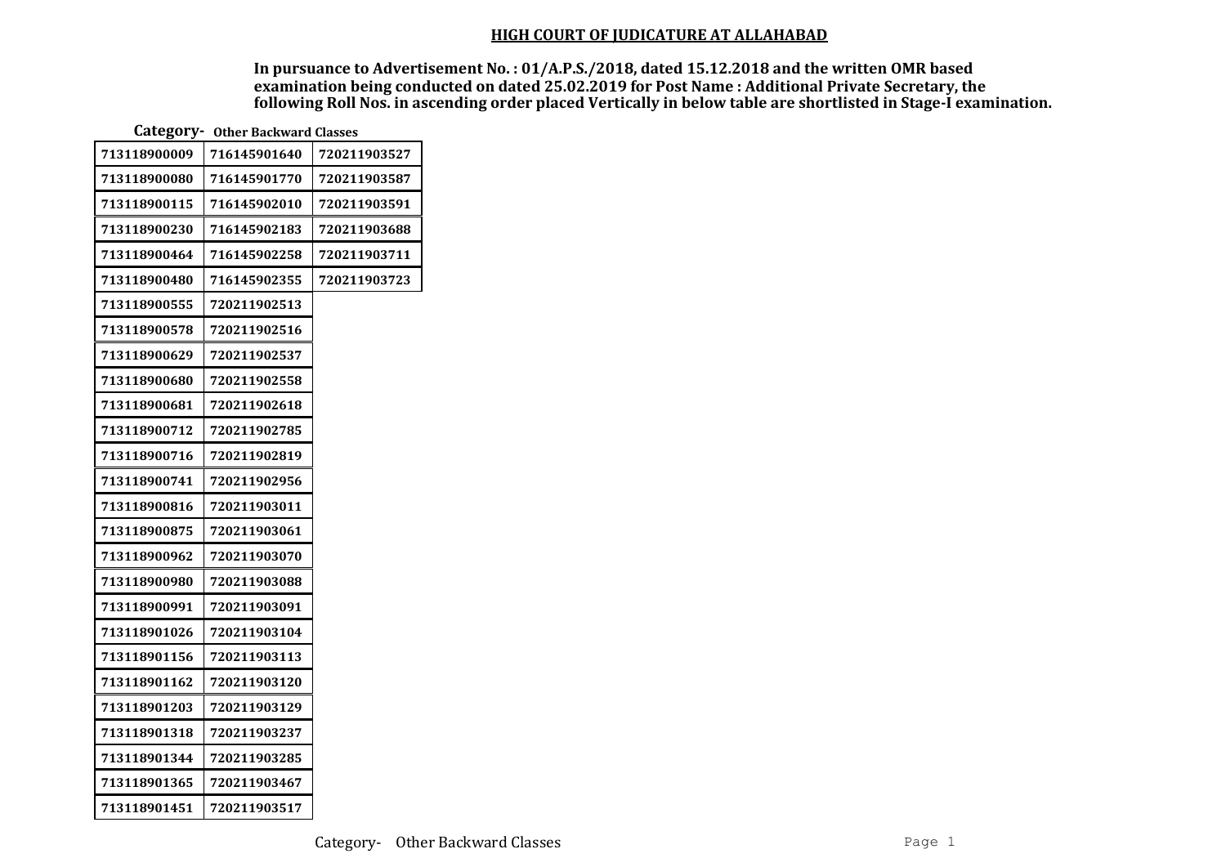| Category - Other Backward Classes |              |              |  |  |  |
|-----------------------------------|--------------|--------------|--|--|--|
| 713118900009                      | 716145901640 | 720211903527 |  |  |  |
| 713118900080                      | 716145901770 | 720211903587 |  |  |  |
| 713118900115                      | 716145902010 | 720211903591 |  |  |  |
| 713118900230                      | 716145902183 | 720211903688 |  |  |  |
| 713118900464                      | 716145902258 | 720211903711 |  |  |  |
| 713118900480                      | 716145902355 | 720211903723 |  |  |  |
| 713118900555                      | 720211902513 |              |  |  |  |
| 713118900578                      | 720211902516 |              |  |  |  |
| 713118900629                      | 720211902537 |              |  |  |  |
| 713118900680                      | 720211902558 |              |  |  |  |
| 713118900681                      | 720211902618 |              |  |  |  |
| 713118900712                      | 720211902785 |              |  |  |  |
| 713118900716                      | 720211902819 |              |  |  |  |
| 713118900741                      | 720211902956 |              |  |  |  |
| 713118900816                      | 720211903011 |              |  |  |  |
| 713118900875                      | 720211903061 |              |  |  |  |
| 713118900962                      | 720211903070 |              |  |  |  |
| 713118900980                      | 720211903088 |              |  |  |  |
| 713118900991                      | 720211903091 |              |  |  |  |
| 713118901026                      | 720211903104 |              |  |  |  |
| 713118901156                      | 720211903113 |              |  |  |  |
| 713118901162                      | 720211903120 |              |  |  |  |
| 713118901203                      | 720211903129 |              |  |  |  |
| 713118901318                      | 720211903237 |              |  |  |  |
| 713118901344                      | 720211903285 |              |  |  |  |
| 713118901365                      | 720211903467 |              |  |  |  |
| 713118901451                      | 720211903517 |              |  |  |  |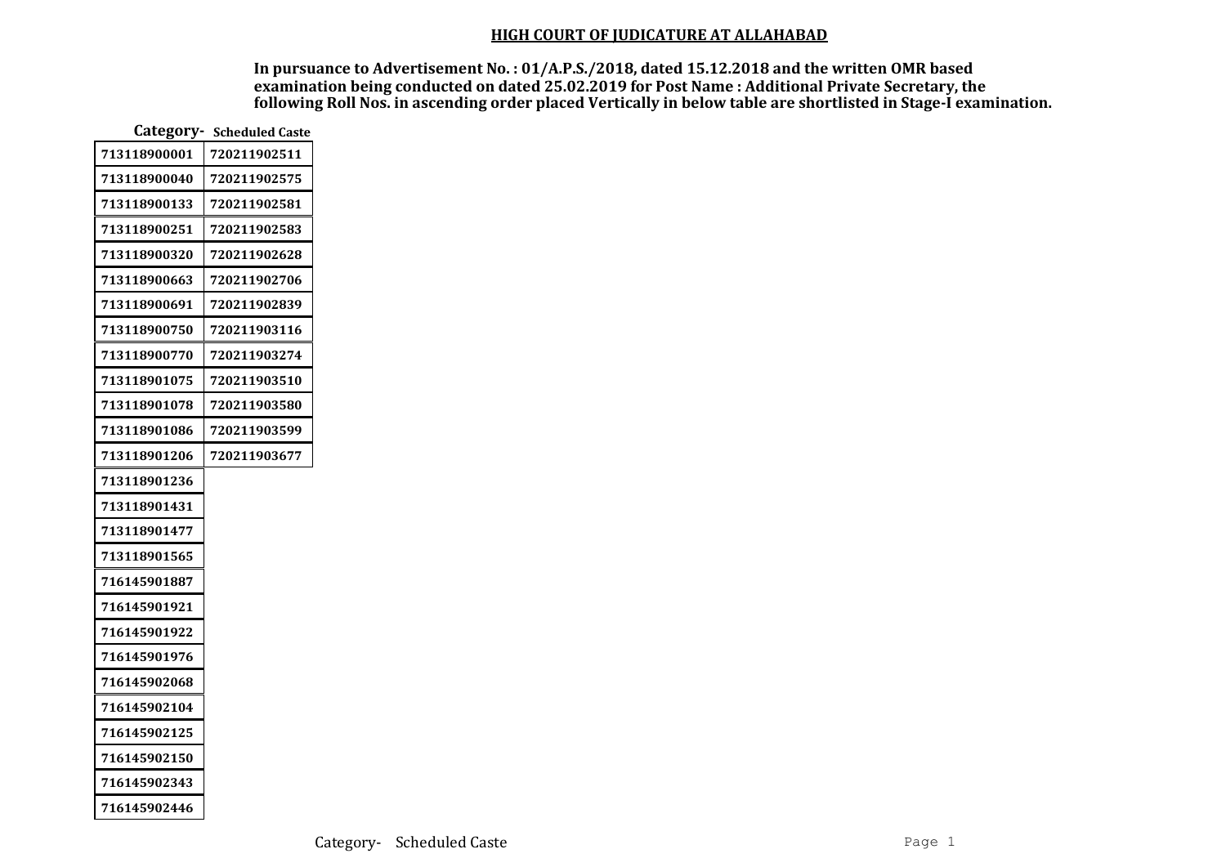| Category-    | <b>Scheduled Caste</b> |
|--------------|------------------------|
| 713118900001 | 720211902511           |
| 713118900040 | 720211902575           |
| 713118900133 | 720211902581           |
| 713118900251 | 720211902583           |
| 713118900320 | 720211902628           |
| 713118900663 | 720211902706           |
| 713118900691 | 720211902839           |
| 713118900750 | 720211903116           |
| 713118900770 | 720211903274           |
| 713118901075 | 720211903510           |
| 713118901078 | 720211903580           |
| 713118901086 | 720211903599           |
| 713118901206 | 720211903677           |
| 713118901236 |                        |
| 713118901431 |                        |
| 713118901477 |                        |
| 713118901565 |                        |
| 716145901887 |                        |
| 716145901921 |                        |
| 716145901922 |                        |
| 716145901976 |                        |
| 716145902068 |                        |
| 716145902104 |                        |
| 716145902125 |                        |
| 716145902150 |                        |
| 716145902343 |                        |
| 716145902446 |                        |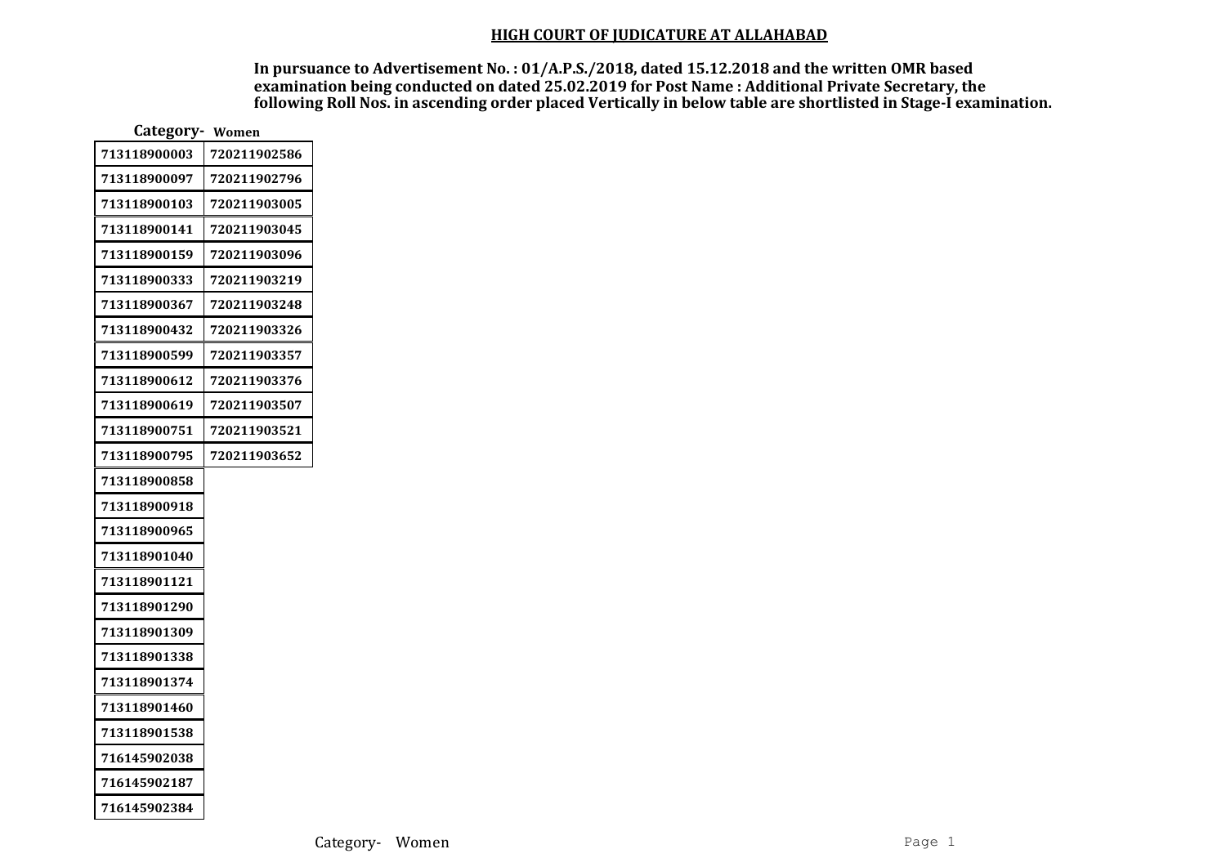| Category-<br>Women |              |  |  |  |  |
|--------------------|--------------|--|--|--|--|
| 713118900003       | 720211902586 |  |  |  |  |
| 713118900097       | 720211902796 |  |  |  |  |
| 713118900103       | 720211903005 |  |  |  |  |
| 713118900141       | 720211903045 |  |  |  |  |
| 713118900159       | 720211903096 |  |  |  |  |
| 713118900333       | 720211903219 |  |  |  |  |
| 713118900367       | 720211903248 |  |  |  |  |
| 713118900432       | 720211903326 |  |  |  |  |
| 713118900599       | 720211903357 |  |  |  |  |
| 713118900612       | 720211903376 |  |  |  |  |
| 713118900619       | 720211903507 |  |  |  |  |
| 713118900751       | 720211903521 |  |  |  |  |
| 713118900795       | 720211903652 |  |  |  |  |
| 713118900858       |              |  |  |  |  |
| 713118900918       |              |  |  |  |  |
| 713118900965       |              |  |  |  |  |
| 713118901040       |              |  |  |  |  |
| 713118901121       |              |  |  |  |  |
| 713118901290       |              |  |  |  |  |
| 713118901309       |              |  |  |  |  |
| 713118901338       |              |  |  |  |  |
| 713118901374       |              |  |  |  |  |
| 713118901460       |              |  |  |  |  |
| 713118901538       |              |  |  |  |  |
| 716145902038       |              |  |  |  |  |
| 716145902187       |              |  |  |  |  |
| 716145902384       |              |  |  |  |  |